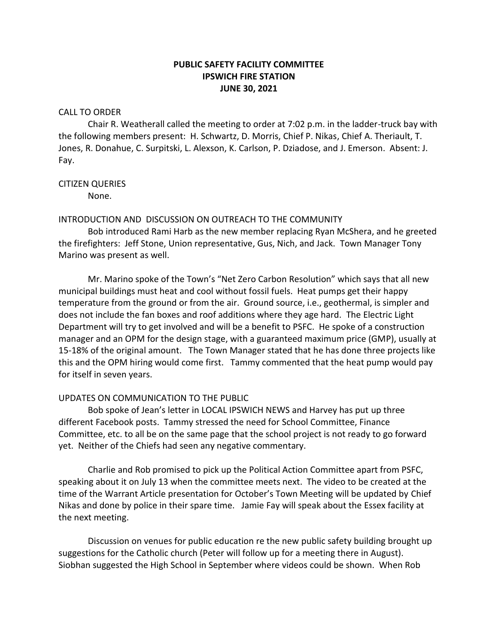# **PUBLIC SAFETY FACILITY COMMITTEE IPSWICH FIRE STATION JUNE 30, 2021**

## CALL TO ORDER

Chair R. Weatherall called the meeting to order at 7:02 p.m. in the ladder-truck bay with the following members present: H. Schwartz, D. Morris, Chief P. Nikas, Chief A. Theriault, T. Jones, R. Donahue, C. Surpitski, L. Alexson, K. Carlson, P. Dziadose, and J. Emerson. Absent: J. Fay.

## CITIZEN QUERIES

None.

# INTRODUCTION AND DISCUSSION ON OUTREACH TO THE COMMUNITY

Bob introduced Rami Harb as the new member replacing Ryan McShera, and he greeted the firefighters: Jeff Stone, Union representative, Gus, Nich, and Jack. Town Manager Tony Marino was present as well.

Mr. Marino spoke of the Town's "Net Zero Carbon Resolution" which says that all new municipal buildings must heat and cool without fossil fuels. Heat pumps get their happy temperature from the ground or from the air. Ground source, i.e., geothermal, is simpler and does not include the fan boxes and roof additions where they age hard. The Electric Light Department will try to get involved and will be a benefit to PSFC. He spoke of a construction manager and an OPM for the design stage, with a guaranteed maximum price (GMP), usually at 15-18% of the original amount. The Town Manager stated that he has done three projects like this and the OPM hiring would come first. Tammy commented that the heat pump would pay for itself in seven years.

# UPDATES ON COMMUNICATION TO THE PUBLIC

Bob spoke of Jean's letter in LOCAL IPSWICH NEWS and Harvey has put up three different Facebook posts. Tammy stressed the need for School Committee, Finance Committee, etc. to all be on the same page that the school project is not ready to go forward yet. Neither of the Chiefs had seen any negative commentary.

Charlie and Rob promised to pick up the Political Action Committee apart from PSFC, speaking about it on July 13 when the committee meets next. The video to be created at the time of the Warrant Article presentation for October's Town Meeting will be updated by Chief Nikas and done by police in their spare time. Jamie Fay will speak about the Essex facility at the next meeting.

Discussion on venues for public education re the new public safety building brought up suggestions for the Catholic church (Peter will follow up for a meeting there in August). Siobhan suggested the High School in September where videos could be shown. When Rob